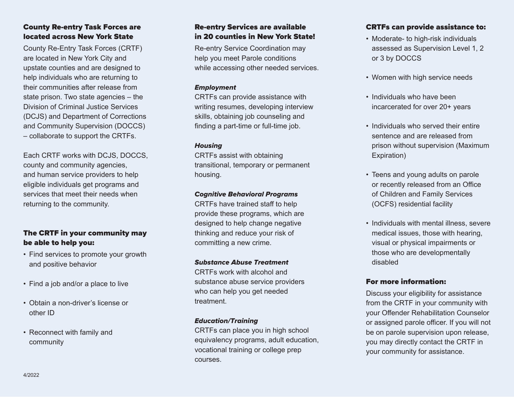# County Re-entry Task Forces are located across New York State

County Re-Entry Task Forces (CRTF) are located in New York City and upstate counties and are designed to help individuals who are returning to their communities after release from state prison. Two state agencies  $-$  the Division of Criminal Justice Services (DCJS) and Department of Corrections and Community Supervision (DOCCS) ‒ collaborate to support the CRTFs.

Each CRTF works with DCJS, DOCCS, county and community agencies, and human service providers to help eligible individuals get programs and services that meet their needs when returning to the community.

# The CRTF in your community may be able to help you:

- Find services to promote your growth and positive behavior
- Find a job and/or a place to live
- Obtain a non-driver's license or other ID
- Reconnect with family and community

# Re-entry Services are available in 20 counties in New York State!

Re-entry Service Coordination may help you meet Parole conditions while accessing other needed services.

# **Employment**

CRTFs can provide assistance with writing resumes, developing interview skills, obtaining job counseling and finding a part-time or full-time job.

# **Housing**

CRTFs assist with obtaining transitional, temporary or permanent housing.

# Cognitive Behavioral Programs

CRTFs have trained staff to help provide these programs, which are designed to help change negative thinking and reduce your risk of committing a new crime.

# Substance Abuse Treatment

CRTFs work with alcohol and substance abuse service providers who can help you get needed treatment.

# Education/Training

CRTFs can place you in high school equivalency programs, adult education, vocational training or college prep courses.

# CRTFs can provide assistance to:

- Moderate- to high-risk individuals assessed as Supervision Level 1, 2 or 3 by DOCCS
- Women with high service needs
- Individuals who have been incarcerated for over 20+ years
- Individuals who served their entire sentence and are released from prison without supervision (Maximum Expiration)
- Teens and young adults on parole or recently released from an Office of Children and Family Services (OCFS) residential facility
- Individuals with mental illness, severe medical issues, those with hearing, visual or physical impairments or those who are developmentally disabled

# For more information:

Discuss your eligibility for assistance from the CRTF in your community with your Offender Rehabilitation Counselor or assigned parole officer. If you will not be on parole supervision upon release, you may directly contact the CRTF in your community for assistance.